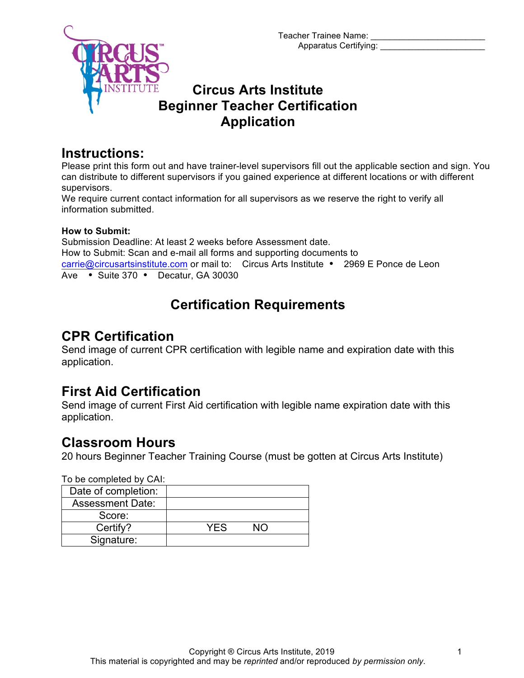Teacher Trainee Name: Apparatus Certifying: \_\_\_\_\_\_\_\_\_\_\_\_\_\_\_\_\_\_\_\_\_\_



## **Circus Arts Institute Beginner Teacher Certification Application**

### **Instructions:**

Please print this form out and have trainer-level supervisors fill out the applicable section and sign. You can distribute to different supervisors if you gained experience at different locations or with different supervisors.

We require current contact information for all supervisors as we reserve the right to verify all information submitted.

#### **How to Submit:**

Submission Deadline: At least 2 weeks before Assessment date. How to Submit: Scan and e-mail all forms and supporting documents to carrie@circusartsinstitute.com or mail to: Circus Arts Institute • 2969 E Ponce de Leon Ave • Suite 370 • Decatur, GA 30030

# **Certification Requirements**

# **CPR Certification**

Send image of current CPR certification with legible name and expiration date with this application.

## **First Aid Certification**

Send image of current First Aid certification with legible name expiration date with this application.

## **Classroom Hours**

20 hours Beginner Teacher Training Course (must be gotten at Circus Arts Institute)

To be completed by CAI:

| Date of completion:     |      |  |
|-------------------------|------|--|
| <b>Assessment Date:</b> |      |  |
| Score:                  |      |  |
| Certify?                | YF.S |  |
| Signature:              |      |  |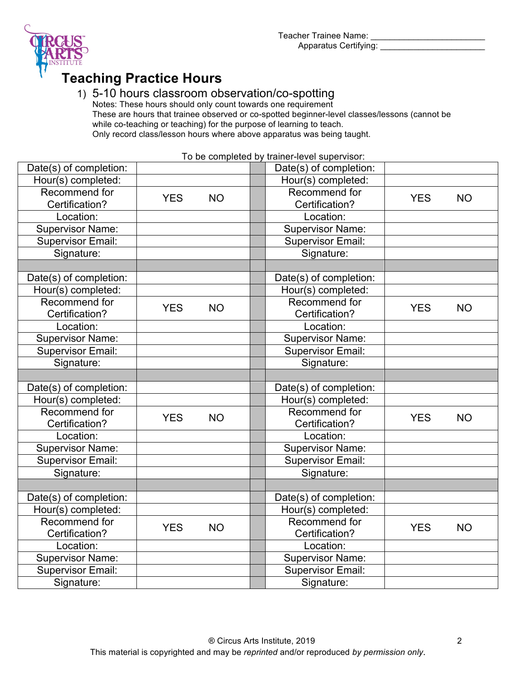Teacher Trainee Name: Apparatus Certifying: \_\_\_\_\_\_\_



# **Teaching Practice Hours**

### 1) 5-10 hours classroom observation/co-spotting

Notes: These hours should only count towards one requirement These are hours that trainee observed or co-spotted beginner-level classes/lessons (cannot be while co-teaching or teaching) for the purpose of learning to teach. Only record class/lesson hours where above apparatus was being taught.

To be completed by trainer-level supervisor:

| Date(s) of completion:   |            |           |  | Date(s) of completion:   |            |           |
|--------------------------|------------|-----------|--|--------------------------|------------|-----------|
| Hour(s) completed:       |            |           |  | Hour(s) completed:       |            |           |
| Recommend for            | <b>YES</b> | <b>NO</b> |  | Recommend for            | <b>YES</b> | <b>NO</b> |
| Certification?           |            |           |  | Certification?           |            |           |
| Location:                |            |           |  | Location:                |            |           |
| <b>Supervisor Name:</b>  |            |           |  | <b>Supervisor Name:</b>  |            |           |
| <b>Supervisor Email:</b> |            |           |  | <b>Supervisor Email:</b> |            |           |
| Signature:               |            |           |  | Signature:               |            |           |
|                          |            |           |  |                          |            |           |
| Date(s) of completion:   |            |           |  | Date(s) of completion:   |            |           |
| Hour(s) completed:       |            |           |  | Hour(s) completed:       |            |           |
| Recommend for            | <b>YES</b> | <b>NO</b> |  | Recommend for            | <b>YES</b> | <b>NO</b> |
| Certification?           |            |           |  | Certification?           |            |           |
| Location:                |            |           |  | Location:                |            |           |
| <b>Supervisor Name:</b>  |            |           |  | <b>Supervisor Name:</b>  |            |           |
| <b>Supervisor Email:</b> |            |           |  | <b>Supervisor Email:</b> |            |           |
| Signature:               |            |           |  | Signature:               |            |           |
|                          |            |           |  |                          |            |           |
| Date(s) of completion:   |            |           |  | Date(s) of completion:   |            |           |
| Hour(s) completed:       |            |           |  | Hour(s) completed:       |            |           |
| Recommend for            | <b>YES</b> | <b>NO</b> |  | Recommend for            | <b>YES</b> | <b>NO</b> |
| Certification?           |            |           |  | Certification?           |            |           |
| Location:                |            |           |  | Location:                |            |           |
| <b>Supervisor Name:</b>  |            |           |  | <b>Supervisor Name:</b>  |            |           |
| <b>Supervisor Email:</b> |            |           |  | <b>Supervisor Email:</b> |            |           |
| Signature:               |            |           |  | Signature:               |            |           |
|                          |            |           |  |                          |            |           |
| Date(s) of completion:   |            |           |  | Date(s) of completion:   |            |           |
| Hour(s) completed:       |            |           |  | Hour(s) completed:       |            |           |
| Recommend for            | <b>YES</b> | <b>NO</b> |  | Recommend for            | <b>YES</b> | <b>NO</b> |
| Certification?           |            |           |  | Certification?           |            |           |
| Location:                |            |           |  | Location:                |            |           |
| <b>Supervisor Name:</b>  |            |           |  | <b>Supervisor Name:</b>  |            |           |
| <b>Supervisor Email:</b> |            |           |  | <b>Supervisor Email:</b> |            |           |
| Signature:               |            |           |  | Signature:               |            |           |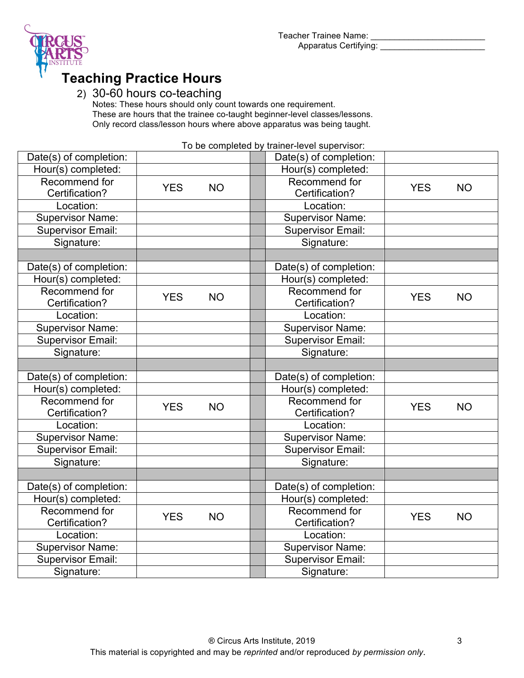

# **Teaching Practice Hours**

#### 2) 30-60 hours co-teaching

Notes: These hours should only count towards one requirement. These are hours that the trainee co-taught beginner-level classes/lessons. Only record class/lesson hours where above apparatus was being taught.

To be completed by trainer-level supervisor:

| Date(s) of completion:   |            |           |  | Date(s) of completion:   |            |           |
|--------------------------|------------|-----------|--|--------------------------|------------|-----------|
| Hour(s) completed:       |            |           |  | Hour(s) completed:       |            |           |
| Recommend for            | <b>YES</b> | <b>NO</b> |  | Recommend for            | <b>YES</b> | <b>NO</b> |
| Certification?           |            |           |  | Certification?           |            |           |
| Location:                |            |           |  | Location:                |            |           |
| <b>Supervisor Name:</b>  |            |           |  | <b>Supervisor Name:</b>  |            |           |
| <b>Supervisor Email:</b> |            |           |  | <b>Supervisor Email:</b> |            |           |
| Signature:               |            |           |  | Signature:               |            |           |
|                          |            |           |  |                          |            |           |
| Date(s) of completion:   |            |           |  | Date(s) of completion:   |            |           |
| Hour(s) completed:       |            |           |  | Hour(s) completed:       |            |           |
| Recommend for            |            |           |  | Recommend for            |            |           |
| Certification?           | <b>YES</b> | <b>NO</b> |  | Certification?           | <b>YES</b> | <b>NO</b> |
| Location:                |            |           |  | Location:                |            |           |
| Supervisor Name:         |            |           |  | <b>Supervisor Name:</b>  |            |           |
| <b>Supervisor Email:</b> |            |           |  | <b>Supervisor Email:</b> |            |           |
| Signature:               |            |           |  | Signature:               |            |           |
|                          |            |           |  |                          |            |           |
| Date(s) of completion:   |            |           |  | Date(s) of completion:   |            |           |
| Hour(s) completed:       |            |           |  | Hour(s) completed:       |            |           |
| Recommend for            |            | <b>NO</b> |  | Recommend for            |            |           |
| Certification?           | <b>YES</b> |           |  | Certification?           | <b>YES</b> | <b>NO</b> |
| Location:                |            |           |  | Location:                |            |           |
| <b>Supervisor Name:</b>  |            |           |  | <b>Supervisor Name:</b>  |            |           |
| Supervisor Email:        |            |           |  | Supervisor Email:        |            |           |
| Signature:               |            |           |  | Signature:               |            |           |
|                          |            |           |  |                          |            |           |
| Date(s) of completion:   |            |           |  | Date(s) of completion:   |            |           |
| Hour(s) completed:       |            |           |  | Hour(s) completed:       |            |           |
| Recommend for            |            |           |  | Recommend for            |            |           |
| Certification?           | <b>YES</b> | <b>NO</b> |  | Certification?           | <b>YES</b> | <b>NO</b> |
| Location:                |            |           |  | Location:                |            |           |
| <b>Supervisor Name:</b>  |            |           |  | <b>Supervisor Name:</b>  |            |           |
| <b>Supervisor Email:</b> |            |           |  | <b>Supervisor Email:</b> |            |           |
| Signature:               |            |           |  | Signature:               |            |           |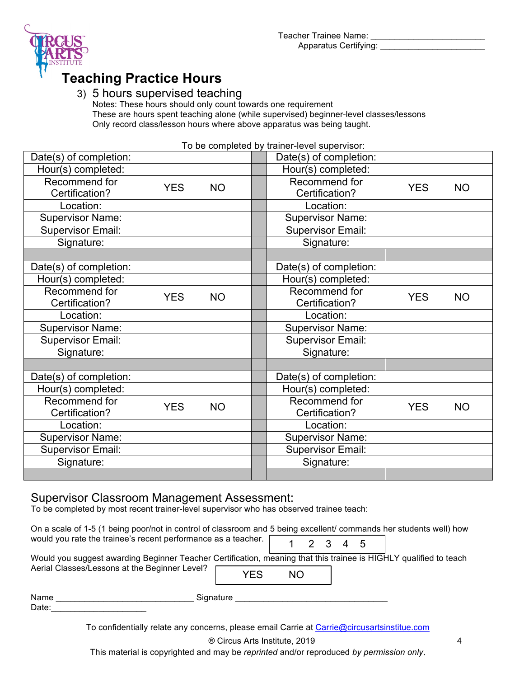



Apparatus Certifying: \_\_\_\_\_\_\_

# **Teaching Practice Hours**

#### 3) 5 hours supervised teaching

Notes: These hours should only count towards one requirement These are hours spent teaching alone (while supervised) beginner-level classes/lessons Only record class/lesson hours where above apparatus was being taught.

| Date(s) of completion:          |                         |           |  | Date(s) of completion:          |                |           |  |
|---------------------------------|-------------------------|-----------|--|---------------------------------|----------------|-----------|--|
| Hour(s) completed:              |                         |           |  | Hour(s) completed:              |                |           |  |
| Recommend for<br>Certification? | <b>YES</b>              | <b>NO</b> |  | Recommend for<br>Certification? | <b>YES</b>     | <b>NO</b> |  |
| Location:                       |                         |           |  | Location:                       |                |           |  |
| <b>Supervisor Name:</b>         |                         |           |  | <b>Supervisor Name:</b>         |                |           |  |
| <b>Supervisor Email:</b>        |                         |           |  | <b>Supervisor Email:</b>        |                |           |  |
| Signature:                      |                         |           |  | Signature:                      |                |           |  |
|                                 |                         |           |  |                                 |                |           |  |
| Date(s) of completion:          |                         |           |  | Date(s) of completion:          |                |           |  |
| Hour(s) completed:              |                         |           |  | Hour(s) completed:              |                |           |  |
| Recommend for                   | <b>YES</b><br><b>NO</b> |           |  | Recommend for                   | <b>YES</b>     | <b>NO</b> |  |
| Certification?                  |                         |           |  |                                 | Certification? |           |  |
| Location:                       |                         |           |  | Location:                       |                |           |  |
| <b>Supervisor Name:</b>         |                         |           |  | <b>Supervisor Name:</b>         |                |           |  |
| <b>Supervisor Email:</b>        |                         |           |  | Supervisor Email:               |                |           |  |
| Signature:                      |                         |           |  | Signature:                      |                |           |  |
|                                 |                         |           |  |                                 |                |           |  |
| Date(s) of completion:          |                         |           |  | Date(s) of completion:          |                |           |  |
| Hour(s) completed:              |                         |           |  | Hour(s) completed:              |                |           |  |
| Recommend for                   | <b>YES</b>              | <b>NO</b> |  | Recommend for                   | <b>YES</b>     | <b>NO</b> |  |
| Certification?                  |                         |           |  | Certification?                  |                |           |  |
| Location:                       |                         |           |  | Location:                       |                |           |  |
| <b>Supervisor Name:</b>         |                         |           |  | <b>Supervisor Name:</b>         |                |           |  |
| <b>Supervisor Email:</b>        |                         |           |  | <b>Supervisor Email:</b>        |                |           |  |
| Signature:                      |                         |           |  | Signature:                      |                |           |  |
|                                 |                         |           |  |                                 |                |           |  |

#### To be completed by trainer-level supervisor:

#### Supervisor Classroom Management Assessment:

To be completed by most recent trainer-level supervisor who has observed trainee teach:

On a scale of 1-5 (1 being poor/not in control of classroom and 5 being excellent/ commands her students well) how would you rate the trainee's recent performance as a teacher.

| 1 | ◠ | 4 | -5 |
|---|---|---|----|
|---|---|---|----|

| Would you suggest awarding Beginner Teacher Certification, meaning that this trainee is HIGHLY qualified to teach |            |     |  |
|-------------------------------------------------------------------------------------------------------------------|------------|-----|--|
| Aerial Classes/Lessons at the Beginner Level?                                                                     | <b>YES</b> | NO. |  |

| Name | Sianature |
|------|-----------|
|      |           |

Date:

To confidentially relate any concerns, please email Carrie at Carrie@circusartsinstitue.com

® Circus Arts Institute, 2019 4

This material is copyrighted and may be *reprinted* and/or reproduced *by permission only*.